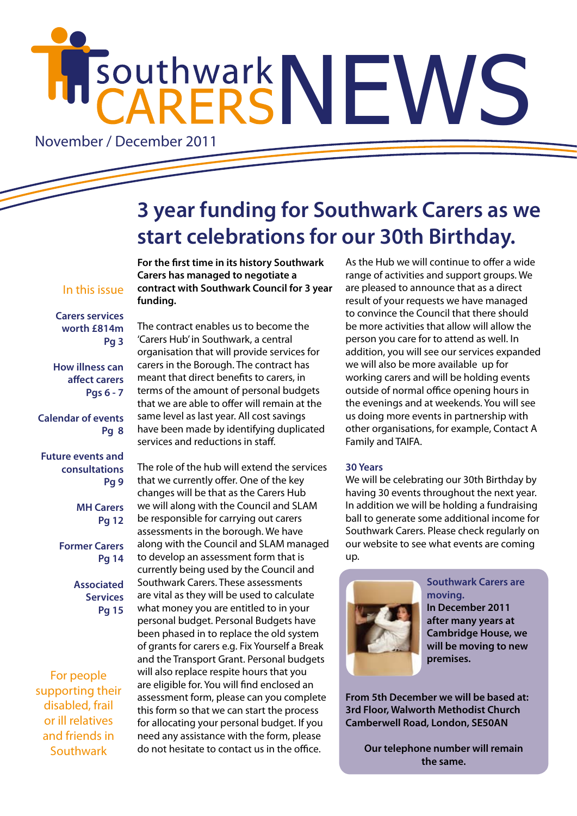# HISOUthwarkNEWS

November / December 2011

# **3 year funding for Southwark Carers as we start celebrations for our 30th Birthday.**

## In this issue

**Carers services worth £814m Pg 3**

**How illness can affect carers Pgs 6 - 7**

**Calendar of events Pg 8**

**Future events and consultations Pg 9**

> **MH Carers Pg 12**

**Former Carers Pg 14**

> **Associated Services Pg 15**

For people supporting their disabled, frail or ill relatives and friends in Southwark

**For the first time in its history Southwark Carers has managed to negotiate a contract with Southwark Council for 3 year funding.** 

The contract enables us to become the 'Carers Hub' in Southwark, a central organisation that will provide services for carers in the Borough. The contract has meant that direct benefits to carers, in terms of the amount of personal budgets that we are able to offer will remain at the same level as last year. All cost savings have been made by identifying duplicated services and reductions in staff.

The role of the hub will extend the services that we currently offer. One of the key changes will be that as the Carers Hub we will along with the Council and SLAM be responsible for carrying out carers assessments in the borough. We have along with the Council and SLAM managed to develop an assessment form that is currently being used by the Council and Southwark Carers. These assessments are vital as they will be used to calculate what money you are entitled to in your personal budget. Personal Budgets have been phased in to replace the old system of grants for carers e.g. Fix Yourself a Break and the Transport Grant. Personal budgets will also replace respite hours that you are eligible for. You will find enclosed an assessment form, please can you complete this form so that we can start the process for allocating your personal budget. If you need any assistance with the form, please do not hesitate to contact us in the office.

As the Hub we will continue to offer a wide range of activities and support groups. We are pleased to announce that as a direct result of your requests we have managed to convince the Council that there should be more activities that allow will allow the person you care for to attend as well. In addition, you will see our services expanded we will also be more available up for working carers and will be holding events outside of normal office opening hours in the evenings and at weekends. You will see us doing more events in partnership with other organisations, for example, Contact A Family and TAIFA.

#### **30 Years**

We will be celebrating our 30th Birthday by having 30 events throughout the next year. In addition we will be holding a fundraising ball to generate some additional income for Southwark Carers. Please check regularly on our website to see what events are coming up.



#### **Southwark Carers are moving.**

**In December 2011 after many years at Cambridge House, we will be moving to new premises.** 

**From 5th December we will be based at: 3rd Floor, Walworth Methodist Church Camberwell Road, London, SE50AN**

**Our telephone number will remain the same.**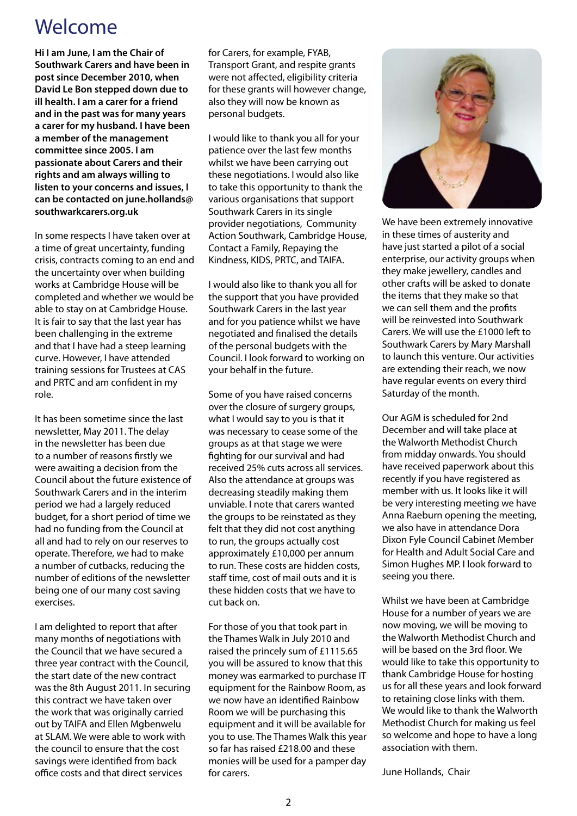## Welcome

**Hi I am June, I am the Chair of Southwark Carers and have been in post since December 2010, when David Le Bon stepped down due to ill health. I am a carer for a friend and in the past was for many years a carer for my husband. I have been a member of the management committee since 2005. I am passionate about Carers and their rights and am always willing to listen to your concerns and issues, I can be contacted on june.hollands@ southwarkcarers.org.uk** 

In some respects I have taken over at a time of great uncertainty, funding crisis, contracts coming to an end and the uncertainty over when building works at Cambridge House will be completed and whether we would be able to stay on at Cambridge House. It is fair to say that the last year has been challenging in the extreme and that I have had a steep learning curve. However, I have attended training sessions for Trustees at CAS and PRTC and am confident in my role.

It has been sometime since the last newsletter, May 2011. The delay in the newsletter has been due to a number of reasons firstly we were awaiting a decision from the Council about the future existence of Southwark Carers and in the interim period we had a largely reduced budget, for a short period of time we had no funding from the Council at all and had to rely on our reserves to operate. Therefore, we had to make a number of cutbacks, reducing the number of editions of the newsletter being one of our many cost saving exercises.

I am delighted to report that after many months of negotiations with the Council that we have secured a three year contract with the Council, the start date of the new contract was the 8th August 2011. In securing this contract we have taken over the work that was originally carried out by TAIFA and Ellen Mgbenwelu at SLAM. We were able to work with the council to ensure that the cost savings were identified from back office costs and that direct services

for Carers, for example, FYAB, Transport Grant, and respite grants were not affected, eligibility criteria for these grants will however change, also they will now be known as personal budgets.

I would like to thank you all for your patience over the last few months whilst we have been carrying out these negotiations. I would also like to take this opportunity to thank the various organisations that support Southwark Carers in its single provider negotiations, Community Action Southwark, Cambridge House, Contact a Family, Repaying the Kindness, KIDS, PRTC, and TAIFA.

I would also like to thank you all for the support that you have provided Southwark Carers in the last year and for you patience whilst we have negotiated and finalised the details of the personal budgets with the Council. I look forward to working on your behalf in the future.

Some of you have raised concerns over the closure of surgery groups, what I would say to you is that it was necessary to cease some of the groups as at that stage we were fighting for our survival and had received 25% cuts across all services. Also the attendance at groups was decreasing steadily making them unviable. I note that carers wanted the groups to be reinstated as they felt that they did not cost anything to run, the groups actually cost approximately £10,000 per annum to run. These costs are hidden costs, staff time, cost of mail outs and it is these hidden costs that we have to cut back on.

For those of you that took part in the Thames Walk in July 2010 and raised the princely sum of £1115.65 you will be assured to know that this money was earmarked to purchase IT equipment for the Rainbow Room, as we now have an identified Rainbow Room we will be purchasing this equipment and it will be available for you to use. The Thames Walk this year so far has raised £218.00 and these monies will be used for a pamper day for carers.



We have been extremely innovative in these times of austerity and have just started a pilot of a social enterprise, our activity groups when they make jewellery, candles and other crafts will be asked to donate the items that they make so that we can sell them and the profits will be reinvested into Southwark Carers. We will use the £1000 left to Southwark Carers by Mary Marshall to launch this venture. Our activities are extending their reach, we now have regular events on every third Saturday of the month.

Our AGM is scheduled for 2nd December and will take place at the Walworth Methodist Church from midday onwards. You should have received paperwork about this recently if you have registered as member with us. It looks like it will be very interesting meeting we have Anna Raeburn opening the meeting, we also have in attendance Dora Dixon Fyle Council Cabinet Member for Health and Adult Social Care and Simon Hughes MP. I look forward to seeing you there.

Whilst we have been at Cambridge House for a number of years we are now moving, we will be moving to the Walworth Methodist Church and will be based on the 3rd floor. We would like to take this opportunity to thank Cambridge House for hosting us for all these years and look forward to retaining close links with them. We would like to thank the Walworth Methodist Church for making us feel so welcome and hope to have a long association with them.

June Hollands, Chair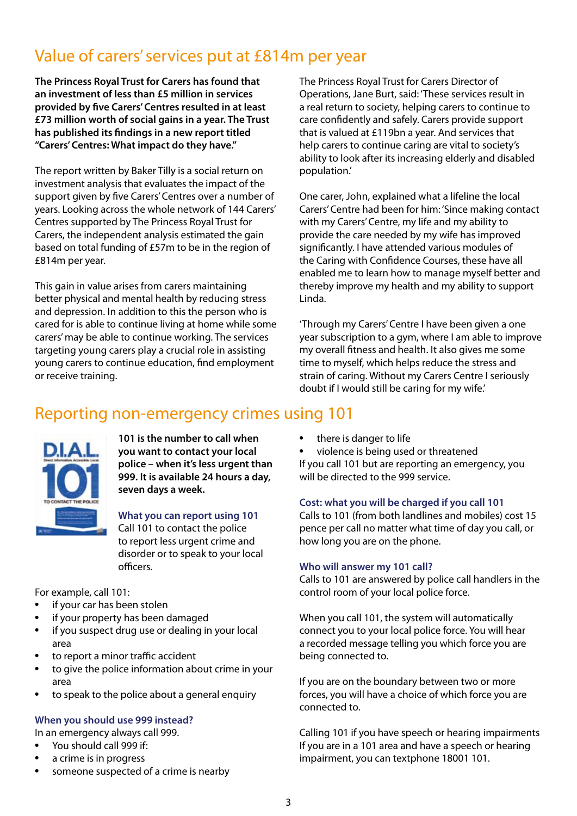## Value of carers' services put at £814m per year

**The Princess Royal Trust for Carers has found that an investment of less than £5 million in services provided by five Carers' Centres resulted in at least £73 million worth of social gains in a year. The Trust has published its findings in a new report titled "Carers' Centres: What impact do they have."**

The report written by Baker Tilly is a social return on investment analysis that evaluates the impact of the support given by five Carers' Centres over a number of years. Looking across the whole network of 144 Carers' Centres supported by The Princess Royal Trust for Carers, the independent analysis estimated the gain based on total funding of £57m to be in the region of £814m per year.

This gain in value arises from carers maintaining better physical and mental health by reducing stress and depression. In addition to this the person who is cared for is able to continue living at home while some carers' may be able to continue working. The services targeting young carers play a crucial role in assisting young carers to continue education, find employment or receive training.

The Princess Royal Trust for Carers Director of Operations, Jane Burt, said: 'These services result in a real return to society, helping carers to continue to care confidently and safely. Carers provide support that is valued at £119bn a year. And services that help carers to continue caring are vital to society's ability to look after its increasing elderly and disabled population.'

One carer, John, explained what a lifeline the local Carers' Centre had been for him: 'Since making contact with my Carers' Centre, my life and my ability to provide the care needed by my wife has improved significantly. I have attended various modules of the Caring with Confidence Courses, these have all enabled me to learn how to manage myself better and thereby improve my health and my ability to support Linda.

'Through my Carers' Centre I have been given a one year subscription to a gym, where I am able to improve my overall fitness and health. It also gives me some time to myself, which helps reduce the stress and strain of caring. Without my Carers Centre I seriously doubt if I would still be caring for my wife.'

## Reporting non-emergency crimes using 101



**101 is the number to call when you want to contact your local police – when it's less urgent than 999. It is available 24 hours a day, seven days a week.**

## **What you can report using 101**

Call 101 to contact the police to report less urgent crime and disorder or to speak to your local officers.

For example, call 101:

- if your car has been stolen
- if your property has been damaged
- if you suspect drug use or dealing in your local area
- to report a minor traffic accident
- to give the police information about crime in your area
- to speak to the police about a general enquiry

## **When you should use 999 instead?**

In an emergency always call 999.

- You should call 999 if:
- a crime is in progress
- someone suspected of a crime is nearby

there is danger to life

violence is being used or threatened If you call 101 but are reporting an emergency, you will be directed to the 999 service.

## **Cost: what you will be charged if you call 101**

Calls to 101 (from both landlines and mobiles) cost 15 pence per call no matter what time of day you call, or how long you are on the phone.

## **Who will answer my 101 call?**

Calls to 101 are answered by police call handlers in the control room of your local police force.

When you call 101, the system will automatically connect you to your local police force. You will hear a recorded message telling you which force you are being connected to.

If you are on the boundary between two or more forces, you will have a choice of which force you are connected to.

Calling 101 if you have speech or hearing impairments If you are in a 101 area and have a speech or hearing impairment, you can textphone 18001 101.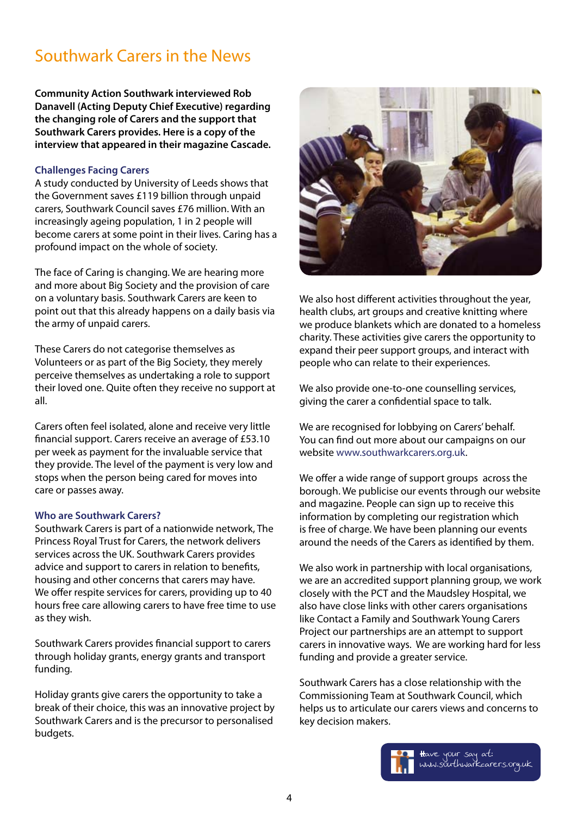## Southwark Carers in the News

**Community Action Southwark interviewed Rob Danavell (Acting Deputy Chief Executive) regarding the changing role of Carers and the support that Southwark Carers provides. Here is a copy of the interview that appeared in their magazine Cascade.**

#### **Challenges Facing Carers**

A study conducted by University of Leeds shows that the Government saves £119 billion through unpaid carers, Southwark Council saves £76 million. With an increasingly ageing population, 1 in 2 people will become carers at some point in their lives. Caring has a profound impact on the whole of society.

The face of Caring is changing. We are hearing more and more about Big Society and the provision of care on a voluntary basis. Southwark Carers are keen to point out that this already happens on a daily basis via the army of unpaid carers.

These Carers do not categorise themselves as Volunteers or as part of the Big Society, they merely perceive themselves as undertaking a role to support their loved one. Quite often they receive no support at all.

Carers often feel isolated, alone and receive very little financial support. Carers receive an average of £53.10 per week as payment for the invaluable service that they provide. The level of the payment is very low and stops when the person being cared for moves into care or passes away.

#### **Who are Southwark Carers?**

Southwark Carers is part of a nationwide network, The Princess Royal Trust for Carers, the network delivers services across the UK. Southwark Carers provides advice and support to carers in relation to benefits, housing and other concerns that carers may have. We offer respite services for carers, providing up to 40 hours free care allowing carers to have free time to use as they wish.

Southwark Carers provides financial support to carers through holiday grants, energy grants and transport funding.

Holiday grants give carers the opportunity to take a break of their choice, this was an innovative project by Southwark Carers and is the precursor to personalised budgets.



We also host different activities throughout the year, health clubs, art groups and creative knitting where we produce blankets which are donated to a homeless charity. These activities give carers the opportunity to expand their peer support groups, and interact with people who can relate to their experiences.

We also provide one-to-one counselling services, giving the carer a confidential space to talk.

We are recognised for lobbying on Carers' behalf. You can find out more about our campaigns on our website www.southwarkcarers.org.uk.

We offer a wide range of support groups across the borough. We publicise our events through our website and magazine. People can sign up to receive this information by completing our registration which is free of charge. We have been planning our events around the needs of the Carers as identified by them.

We also work in partnership with local organisations, we are an accredited support planning group, we work closely with the PCT and the Maudsley Hospital, we also have close links with other carers organisations like Contact a Family and Southwark Young Carers Project our partnerships are an attempt to support carers in innovative ways. We are working hard for less funding and provide a greater service.

Southwark Carers has a close relationship with the Commissioning Team at Southwark Council, which helps us to articulate our carers views and concerns to key decision makers.

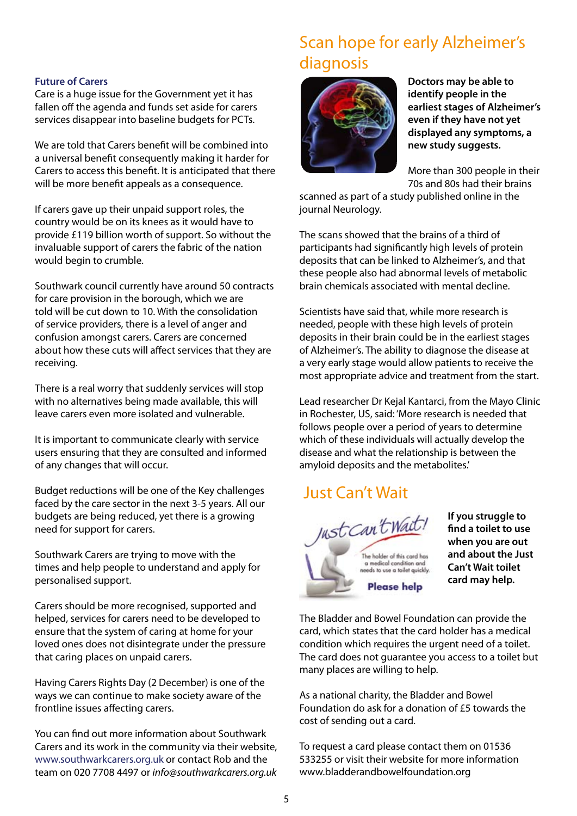## Scan hope for early Alzheimer's diagnosis

#### **Future of Carers**

Care is a huge issue for the Government yet it has fallen off the agenda and funds set aside for carers services disappear into baseline budgets for PCTs.

We are told that Carers benefit will be combined into a universal benefit consequently making it harder for Carers to access this benefit. It is anticipated that there will be more benefit appeals as a consequence.

If carers gave up their unpaid support roles, the country would be on its knees as it would have to provide £119 billion worth of support. So without the invaluable support of carers the fabric of the nation would begin to crumble.

Southwark council currently have around 50 contracts for care provision in the borough, which we are told will be cut down to 10. With the consolidation of service providers, there is a level of anger and confusion amongst carers. Carers are concerned about how these cuts will affect services that they are receiving.

There is a real worry that suddenly services will stop with no alternatives being made available, this will leave carers even more isolated and vulnerable.

It is important to communicate clearly with service users ensuring that they are consulted and informed of any changes that will occur.

Budget reductions will be one of the Key challenges faced by the care sector in the next 3-5 years. All our budgets are being reduced, yet there is a growing need for support for carers.

Southwark Carers are trying to move with the times and help people to understand and apply for personalised support.

Carers should be more recognised, supported and helped, services for carers need to be developed to ensure that the system of caring at home for your loved ones does not disintegrate under the pressure that caring places on unpaid carers.

Having Carers Rights Day (2 December) is one of the ways we can continue to make society aware of the frontline issues affecting carers.

You can find out more information about Southwark Carers and its work in the community via their website, www.southwarkcarers.org.uk or contact Rob and the team on 020 7708 4497 or *info@southwarkcarers.org.uk*



**Doctors may be able to identify people in the earliest stages of Alzheimer's even if they have not yet displayed any symptoms, a new study suggests.**

More than 300 people in their 70s and 80s had their brains

scanned as part of a study published online in the journal Neurology.

The scans showed that the brains of a third of participants had significantly high levels of protein deposits that can be linked to Alzheimer's, and that these people also had abnormal levels of metabolic brain chemicals associated with mental decline.

Scientists have said that, while more research is needed, people with these high levels of protein deposits in their brain could be in the earliest stages of Alzheimer's. The ability to diagnose the disease at a very early stage would allow patients to receive the most appropriate advice and treatment from the start.

Lead researcher Dr Kejal Kantarci, from the Mayo Clinic in Rochester, US, said: 'More research is needed that follows people over a period of years to determine which of these individuals will actually develop the disease and what the relationship is between the amyloid deposits and the metabolites.'

## Just Can't Wait



**If you struggle to find a toilet to use when you are out and about the Just Can't Wait toilet card may help.** 

The Bladder and Bowel Foundation can provide the card, which states that the card holder has a medical condition which requires the urgent need of a toilet. The card does not guarantee you access to a toilet but many places are willing to help.

As a national charity, the Bladder and Bowel Foundation do ask for a donation of £5 towards the cost of sending out a card.

To request a card please contact them on 01536 533255 or visit their website for more information www.bladderandbowelfoundation.org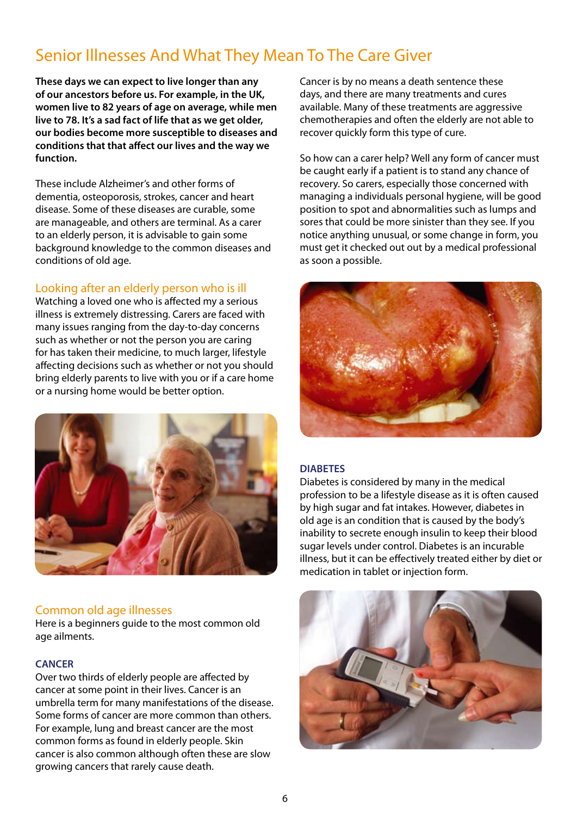## Senior Illnesses And What They Mean To The Care Giver

**These days we can expect to live longer than any of our ancestors before us. For example, in the UK, women live to 82 years of age on average, while men live to 78. It's a sad fact of life that as we get older, our bodies become more susceptible to diseases and conditions that that affect our lives and the way we function.**

These include Alzheimer's and other forms of dementia, osteoporosis, strokes, cancer and heart disease. Some of these diseases are curable, some are manageable, and others are terminal. As a carer to an elderly person, it is advisable to gain some background knowledge to the common diseases and conditions of old age.

## Looking after an elderly person who is ill

Watching a loved one who is affected my a serious illness is extremely distressing. Carers are faced with many issues ranging from the day-to-day concerns such as whether or not the person you are caring for has taken their medicine, to much larger, lifestyle affecting decisions such as whether or not you should bring elderly parents to live with you or if a care home or a nursing home would be better option.



## Common old age illnesses

Here is a beginners guide to the most common old age ailments.

#### **CANCER**

Over two thirds of elderly people are affected by cancer at some point in their lives. Cancer is an umbrella term for many manifestations of the disease. Some forms of cancer are more common than others. For example, lung and breast cancer are the most common forms as found in elderly people. Skin cancer is also common although often these are slow growing cancers that rarely cause death.

Cancer is by no means a death sentence these days, and there are many treatments and cures available. Many of these treatments are aggressive chemotherapies and often the elderly are not able to recover quickly form this type of cure.

So how can a carer help? Well any form of cancer must be caught early if a patient is to stand any chance of recovery. So carers, especially those concerned with managing a individuals personal hygiene, will be good position to spot and abnormalities such as lumps and sores that could be more sinister than they see. If you notice anything unusual, or some change in form, you must get it checked out out by a medical professional as soon a possible.



## **DIABETES**

Diabetes is considered by many in the medical profession to be a lifestyle disease as it is often caused by high sugar and fat intakes. However, diabetes in old age is an condition that is caused by the body's inability to secrete enough insulin to keep their blood sugar levels under control. Diabetes is an incurable illness, but it can be effectively treated either by diet or medication in tablet or injection form.

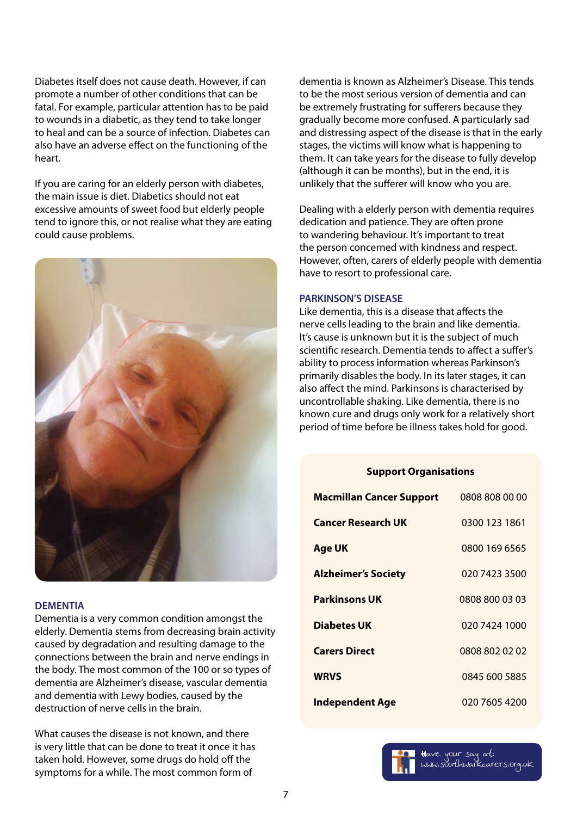Diabetes itself does not cause death. However, if can promote a number of other conditions that can be fatal. For example, particular attention has to be paid to wounds in a diabetic, as they tend to take longer to heal and can be a source of infection. Diabetes can also have an adverse effect on the functioning of the heart.

If you are caring for an elderly person with diabetes, the main issue is diet. Diabetics should not eat excessive amounts of sweet food but elderly people tend to ignore this, or not realise what they are eating could cause problems.



#### **DEMENTIA**

Dementia is a very common condition amongst the elderly. Dementia stems from decreasing brain activity caused by degradation and resulting damage to the connections between the brain and nerve endings in the body. The most common of the 100 or so types of dementia are Alzheimer's disease, vascular dementia and dementia with Lewy bodies, caused by the destruction of nerve cells in the brain.

What causes the disease is not known, and there is very little that can be done to treat it once it has taken hold. However, some drugs do hold off the symptoms for a while. The most common form of

dementia is known as Alzheimer's Disease. This tends to be the most serious version of dementia and can be extremely frustrating for sufferers because they gradually become more confused. A particularly sad and distressing aspect of the disease is that in the early stages, the victims will know what is happening to them. It can take years for the disease to fully develop (although it can be months), but in the end, it is unlikely that the sufferer will know who you are.

Dealing with a elderly person with dementia requires dedication and patience. They are often prone to wandering behaviour. It's important to treat the person concerned with kindness and respect. However, often, carers of elderly people with dementia have to resort to professional care.

#### **PARKINSON'S DISEASE**

Like dementia, this is a disease that affects the nerve cells leading to the brain and like dementia. It's cause is unknown but it is the subject of much scientific research. Dementia tends to affect a suffer's ability to process information whereas Parkinson's primarily disables the body. In its later stages, it can also affect the mind. Parkinsons is characterised by uncontrollable shaking. Like dementia, there is no known cure and drugs only work for a relatively short period of time before be illness takes hold for good.

#### **Support Organisations**

| <b>Macmillan Cancer Support</b> | 0808 808 00 00 |
|---------------------------------|----------------|
| <b>Cancer Research UK</b>       | 0300 123 1861  |
| <b>Age UK</b>                   | 0800 169 6565  |
| <b>Alzheimer's Society</b>      | 020 7423 3500  |
| <b>Parkinsons UK</b>            | 0808 800 03 03 |
| <b>Diabetes UK</b>              | 020 7424 1000  |
| <b>Carers Direct</b>            | 0808 802 02 02 |
| <b>WRVS</b>                     | 0845 600 5885  |
| <b>Independent Age</b>          | 020 7605 4200  |

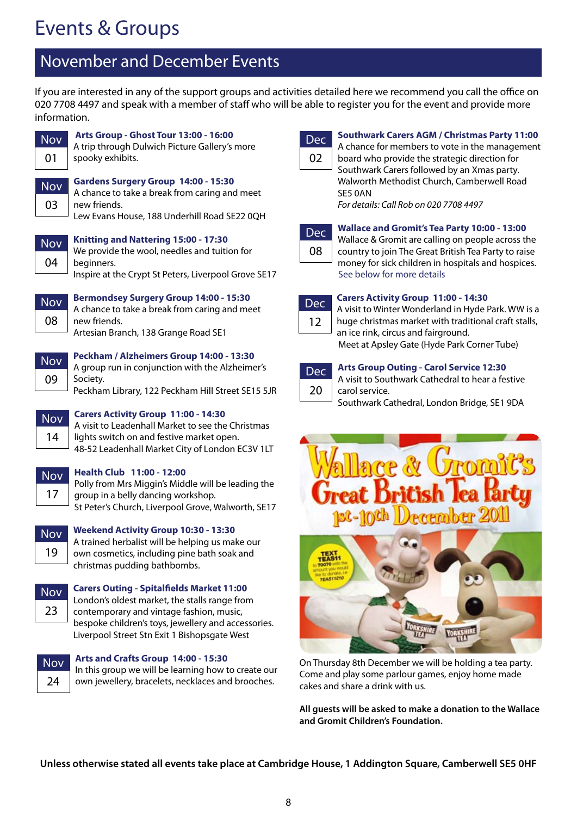## Events & Groups

## November and December Events

If you are interested in any of the support groups and activities detailed here we recommend you call the office on 020 7708 4497 and speak with a member of staff who will be able to register you for the event and provide more information.



**Nov** 03

#### **Arts Group - Ghost Tour 13:00 - 16:00**

A trip through Dulwich Picture Gallery's more spooky exhibits.

#### **Gardens Surgery Group 14:00 - 15:30**

A chance to take a break from caring and meet new friends.

Lew Evans House, 188 Underhill Road SE22 0QH

| $\Omega$<br>ÑI |  |
|----------------|--|
| ባ4             |  |

**Knitting and Nattering 15:00 - 17:30** We provide the wool, needles and tuition for beginners.

Inspire at the Crypt St Peters, Liverpool Grove SE17



**Bermondsey Surgery Group 14:00 - 15:30** A chance to take a break from caring and meet new friends. Artesian Branch, 138 Grange Road SE1

| Nov |  |
|-----|--|
| 09  |  |

## **Peckham / Alzheimers Group 14:00 - 13:30**

A group run in conjunction with the Alzheimer's Society.

Peckham Library, 122 Peckham Hill Street SE15 5JR

| Noy |
|-----|
| 4   |

## **Carers Activity Group 11:00 - 14:30**

A visit to Leadenhall Market to see the Christmas lights switch on and festive market open. 48-52 Leadenhall Market City of London EC3V 1LT

| $\bullet$<br>í |
|----------------|
| z              |

## **Health Club 11:00 - 12:00**

Polly from Mrs Miggin's Middle will be leading the group in a belly dancing workshop. St Peter's Church, Liverpool Grove, Walworth, SE17



## **Weekend Activity Group 10:30 - 13:30**

A trained herbalist will be helping us make our own cosmetics, including pine bath soak and christmas pudding bathbombs.



#### **Carers Outing - Spitalfields Market 11:00**

London's oldest market, the stalls range from contemporary and vintage fashion, music, bespoke children's toys, jewellery and accessories. Liverpool Street Stn Exit 1 Bishopsgate West



**Arts and Crafts Group 14:00 - 15:30**

In this group we will be learning how to create our own jewellery, bracelets, necklaces and brooches.



#### **Southwark Carers AGM / Christmas Party 11:00**

A chance for members to vote in the management

board who provide the strategic direction for Southwark Carers followed by an Xmas party. Walworth Methodist Church, Camberwell Road SE5 0AN

*For details: Call Rob on 020 7708 4497*

## **Wallace and Gromit's Tea Party 10:00 - 13:00**



Wallace & Gromit are calling on people across the country to join The Great British Tea Party to raise money for sick children in hospitals and hospices. See below for more details



## **Carers Activity Group 11:00 - 14:30**

A visit to Winter Wonderland in Hyde Park. WW is a huge christmas market with traditional craft stalls, an ice rink, circus and fairground. Meet at Apsley Gate (Hyde Park Corner Tube)

## Dec 20

#### **Arts Group Outing - Carol Service 12:30**

A visit to Southwark Cathedral to hear a festive carol service.

Southwark Cathedral, London Bridge, SE1 9DA



On Thursday 8th December we will be holding a tea party. Come and play some parlour games, enjoy home made cakes and share a drink with us.

**All guests will be asked to make a donation to the Wallace and Gromit Children's Foundation.**

**Unless otherwise stated all events take place at Cambridge House, 1 Addington Square, Camberwell SE5 0HF**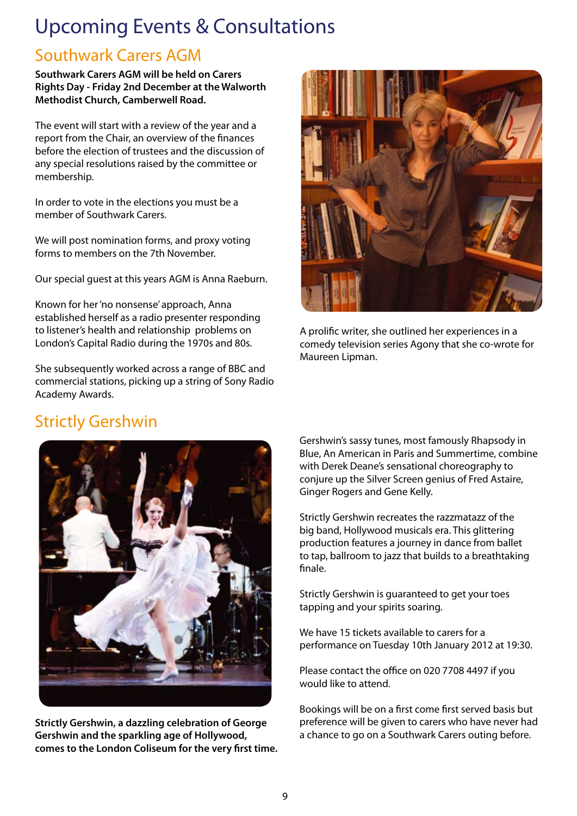## Upcoming Events & Consultations

## Southwark Carers AGM

**Southwark Carers AGM will be held on Carers Rights Day - Friday 2nd December at the Walworth Methodist Church, Camberwell Road.**

The event will start with a review of the year and a report from the Chair, an overview of the finances before the election of trustees and the discussion of any special resolutions raised by the committee or membership.

In order to vote in the elections you must be a member of Southwark Carers.

We will post nomination forms, and proxy voting forms to members on the 7th November.

Our special guest at this years AGM is Anna Raeburn.

Known for her 'no nonsense' approach, Anna established herself as a radio presenter responding to listener's health and relationship problems on London's Capital Radio during the 1970s and 80s.

She subsequently worked across a range of BBC and commercial stations, picking up a string of Sony Radio Academy Awards.



A prolific writer, she outlined her experiences in a comedy television series Agony that she co-wrote for Maureen Lipman.

## Strictly Gershwin



**Strictly Gershwin, a dazzling celebration of George Gershwin and the sparkling age of Hollywood, comes to the London Coliseum for the very first time.** 

Gershwin's sassy tunes, most famously Rhapsody in Blue, An American in Paris and Summertime, combine with Derek Deane's sensational choreography to conjure up the Silver Screen genius of Fred Astaire, Ginger Rogers and Gene Kelly.

Strictly Gershwin recreates the razzmatazz of the big band, Hollywood musicals era. This glittering production features a journey in dance from ballet to tap, ballroom to jazz that builds to a breathtaking finale.

Strictly Gershwin is guaranteed to get your toes tapping and your spirits soaring.

We have 15 tickets available to carers for a performance on Tuesday 10th January 2012 at 19:30.

Please contact the office on 020 7708 4497 if you would like to attend.

Bookings will be on a first come first served basis but preference will be given to carers who have never had a chance to go on a Southwark Carers outing before.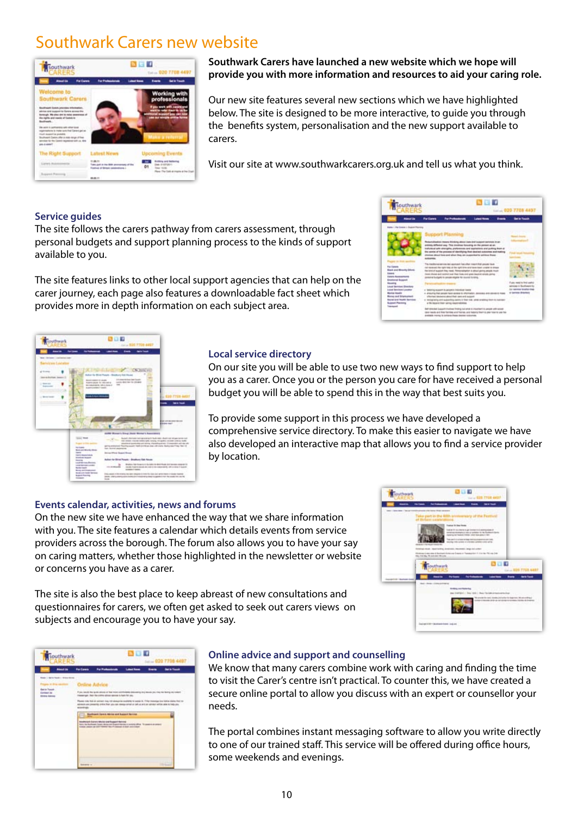## Southwark Carers new website



#### **Southwark Carers have launched a new website which we hope will provide you with more information and resources to aid your caring role.**

Our new site features several new sections which we have highlighted below. The site is designed to be more interactive, to guide you through the benefits system, personalisation and the new support available to carers.

Visit our site at www.southwarkcarers.org.uk and tell us what you think.

#### **Service guides**

The site follows the carers pathway from carers assessment, through personal budgets and support planning process to the kinds of support available to you.

The site features links to other local support agencies that can help on the carer journey, each page also features a downloadable fact sheet which provides more in depth information on each subject area.





#### **Local service directory**

On our site you will be able to use two new ways to find support to help you as a carer. Once you or the person you care for have received a personal budget you will be able to spend this in the way that best suits you.

To provide some support in this process we have developed a comprehensive service directory. To make this easier to navigate we have also developed an interactive map that allows you to find a service provider by location.

#### **Events calendar, activities, news and forums**

On the new site we have enhanced the way that we share information with you. The site features a calendar which details events from service providers across the borough. The forum also allows you to have your say on caring matters, whether those highlighted in the newsletter or website or concerns you have as a carer.

The site is also the best place to keep abreast of new consultations and questionnaires for carers, we often get asked to seek out carers views on subjects and encourage you to have your say.

| <b>buttvevark</b>                                         | 81 I I I<br><b>The Court City</b>                                                                                                                                                                                                                                                                                                                                                                                                                                                                                                                                                                    |
|-----------------------------------------------------------|------------------------------------------------------------------------------------------------------------------------------------------------------------------------------------------------------------------------------------------------------------------------------------------------------------------------------------------------------------------------------------------------------------------------------------------------------------------------------------------------------------------------------------------------------------------------------------------------------|
| two - two war - but on the grounds allowed to have month. |                                                                                                                                                                                                                                                                                                                                                                                                                                                                                                                                                                                                      |
|                                                           | ke part in th                                                                                                                                                                                                                                                                                                                                                                                                                                                                                                                                                                                        |
|                                                           | <b>Tracket for Stay Horsey</b><br>Trade at 10 documents in ad increase is already grained at<br>personal memory is a painter series or to the furthern facts<br>ing to call the control of the state of the control of the<br>Take contribute actions the large charters on approved a pair field.<br>parties of the common of a declared continued contract and<br><b>CONTRACTOR</b><br>three rices. Apartments developed responses and an enter-<br>through the country of the characteristic contribution of the country of the country of the country of<br>this first big 15 cars and 100-2-de- |
|                                                           | 日日日<br>southwark<br>College 1                                                                                                                                                                                                                                                                                                                                                                                                                                                                                                                                                                        |
| <b>Exception R. B. L. Macmusett, Foundation</b>           | $r$ . The set of $r$<br>--<br>$-$                                                                                                                                                                                                                                                                                                                                                                                                                                                                                                                                                                    |
|                                                           | Text - Sena - Edmund that<br><b>Bridding and Ratio Eng.</b><br>the United City Att Charles to the program that<br>We concent this more, closedes and solder the degenerate office and enterprise<br>the U books of P or in drive in trains to be to a training<br><b>ICAA/DINGCORNOLES</b>                                                                                                                                                                                                                                                                                                           |
|                                                           | <b>Daniel City - Bookeet front Judice</b>                                                                                                                                                                                                                                                                                                                                                                                                                                                                                                                                                            |

| southwark                                                   |                                                                                                                                                                                          |                                                                                                                                                                                                                                   |             |  | <b>Saline 020 7708 440</b> |  |
|-------------------------------------------------------------|------------------------------------------------------------------------------------------------------------------------------------------------------------------------------------------|-----------------------------------------------------------------------------------------------------------------------------------------------------------------------------------------------------------------------------------|-------------|--|----------------------------|--|
|                                                             | <b>For Cannon</b>                                                                                                                                                                        | <b>Par Produ</b>                                                                                                                                                                                                                  | ومدعا لنصاد |  | <b>Milk Tanak</b>          |  |
| News 1- Sal to Newth 1- Nilsan-News                         |                                                                                                                                                                                          |                                                                                                                                                                                                                                   |             |  |                            |  |
|                                                             | Online Advice                                                                                                                                                                            |                                                                                                                                                                                                                                   |             |  |                            |  |
| darra house<br><b>Gardens and</b><br><b>Stretch Advised</b> | If you possibly the quick attitude or that more contributions determining this boundary play that factoring out numbers<br>imposerage. Seen the critical school approve to hard for you. |                                                                                                                                                                                                                                   |             |  |                            |  |
|                                                             | sized six                                                                                                                                                                                | Please nite feel of collect-line his managerie outstand to super it. If the recently first follow during the line<br>advisors are posseing order than you can except actual or call of articles service will be only to help you. |             |  |                            |  |
|                                                             |                                                                                                                                                                                          | <b>Business Lowe Million and Support Service</b>                                                                                                                                                                                  |             |  |                            |  |
|                                                             |                                                                                                                                                                                          | <b>Readhand - Surges Advise and Support Service</b><br>forty the business claims about the figure terms in construction. To construct an added                                                                                    |             |  |                            |  |
|                                                             |                                                                                                                                                                                          |                                                                                                                                                                                                                                   |             |  |                            |  |
|                                                             |                                                                                                                                                                                          |                                                                                                                                                                                                                                   |             |  |                            |  |
|                                                             |                                                                                                                                                                                          |                                                                                                                                                                                                                                   |             |  |                            |  |

#### **Online advice and support and counselling**

We know that many carers combine work with caring and finding the time to visit the Carer's centre isn't practical. To counter this, we have created a secure online portal to allow you discuss with an expert or counsellor your needs.

The portal combines instant messaging software to allow you write directly to one of our trained staff. This service will be offered during office hours, some weekends and evenings.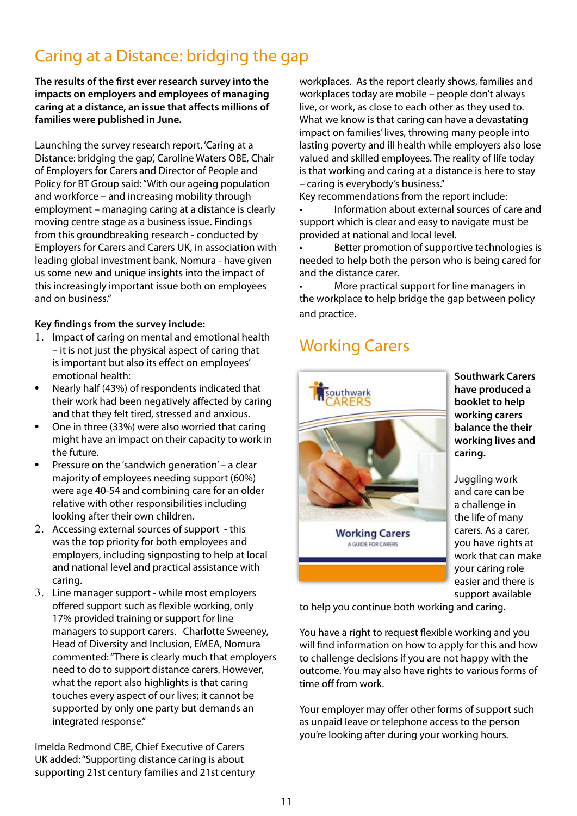## Caring at a Distance: bridging the gap

**The results of the first ever research survey into the impacts on employers and employees of managing caring at a distance, an issue that affects millions of families were published in June.**

Launching the survey research report, 'Caring at a Distance: bridging the gap', Caroline Waters OBE, Chair of Employers for Carers and Director of People and Policy for BT Group said: "With our ageing population and workforce – and increasing mobility through employment – managing caring at a distance is clearly moving centre stage as a business issue. Findings from this groundbreaking research - conducted by Employers for Carers and Carers UK, in association with leading global investment bank, Nomura - have given us some new and unique insights into the impact of this increasingly important issue both on employees and on business."

## **Key findings from the survey include:**

- 1. Impact of caring on mental and emotional health – it is not just the physical aspect of caring that is important but also its effect on employees' emotional health:
- Nearly half (43%) of respondents indicated that their work had been negatively affected by caring and that they felt tired, stressed and anxious.
- One in three (33%) were also worried that caring might have an impact on their capacity to work in the future.
- Pressure on the 'sandwich generation' a clear majority of employees needing support (60%) were age 40-54 and combining care for an older relative with other responsibilities including looking after their own children.
- 2. Accessing external sources of support this was the top priority for both employees and employers, including signposting to help at local and national level and practical assistance with caring.
- 3. Line manager support while most employers offered support such as flexible working, only 17% provided training or support for line managers to support carers. Charlotte Sweeney, Head of Diversity and Inclusion, EMEA, Nomura commented: "There is clearly much that employers need to do to support distance carers. However, what the report also highlights is that caring touches every aspect of our lives; it cannot be supported by only one party but demands an integrated response."

Imelda Redmond CBE, Chief Executive of Carers UK added: "Supporting distance caring is about supporting 21st century families and 21st century workplaces. As the report clearly shows, families and workplaces today are mobile – people don't always live, or work, as close to each other as they used to. What we know is that caring can have a devastating impact on families' lives, throwing many people into lasting poverty and ill health while employers also lose valued and skilled employees. The reality of life today is that working and caring at a distance is here to stay – caring is everybody's business."

Key recommendations from the report include:

Information about external sources of care and support which is clear and easy to navigate must be provided at national and local level.

Better promotion of supportive technologies is needed to help both the person who is being cared for and the distance carer.

More practical support for line managers in the workplace to help bridge the gap between policy and practice.

## Working Carers



**Southwark Carers have produced a booklet to help working carers balance the their working lives and caring.**

Juggling work and care can be a challenge in the life of many carers. As a carer, you have rights at work that can make your caring role easier and there is support available

to help you continue both working and caring.

You have a right to request flexible working and you will find information on how to apply for this and how to challenge decisions if you are not happy with the outcome. You may also have rights to various forms of time off from work.

Your employer may offer other forms of support such as unpaid leave or telephone access to the person you're looking after during your working hours.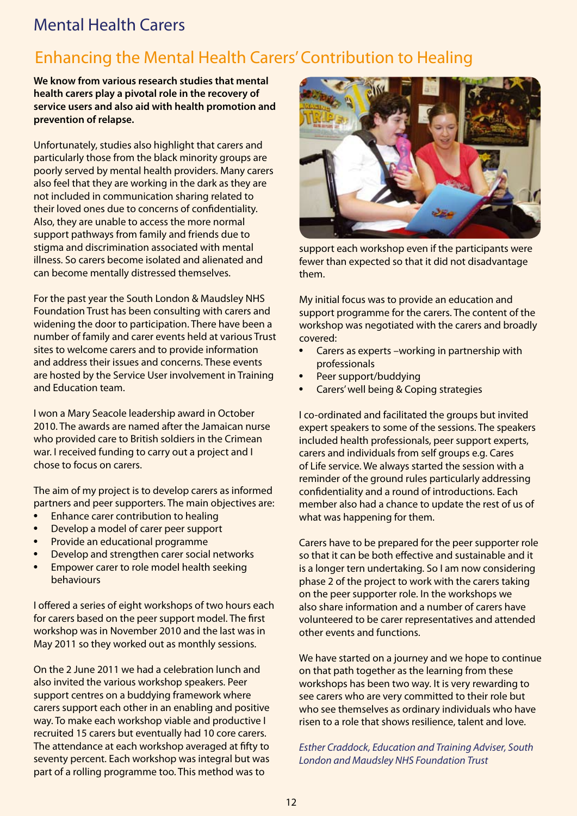## Mental Health Carers

## Enhancing the Mental Health Carers' Contribution to Healing

**We know from various research studies that mental health carers play a pivotal role in the recovery of service users and also aid with health promotion and prevention of relapse.**

Unfortunately, studies also highlight that carers and particularly those from the black minority groups are poorly served by mental health providers. Many carers also feel that they are working in the dark as they are not included in communication sharing related to their loved ones due to concerns of confidentiality. Also, they are unable to access the more normal support pathways from family and friends due to stigma and discrimination associated with mental illness. So carers become isolated and alienated and can become mentally distressed themselves.

For the past year the South London & Maudsley NHS Foundation Trust has been consulting with carers and widening the door to participation. There have been a number of family and carer events held at various Trust sites to welcome carers and to provide information and address their issues and concerns. These events are hosted by the Service User involvement in Training and Education team.

I won a Mary Seacole leadership award in October 2010. The awards are named after the Jamaican nurse who provided care to British soldiers in the Crimean war. I received funding to carry out a project and I chose to focus on carers.

The aim of my project is to develop carers as informed partners and peer supporters. The main objectives are:

- **Enhance carer contribution to healing**
- Develop a model of carer peer support
- Provide an educational programme
- Develop and strengthen carer social networks
- Empower carer to role model health seeking behaviours

I offered a series of eight workshops of two hours each for carers based on the peer support model. The first workshop was in November 2010 and the last was in May 2011 so they worked out as monthly sessions.

On the 2 June 2011 we had a celebration lunch and also invited the various workshop speakers. Peer support centres on a buddying framework where carers support each other in an enabling and positive way. To make each workshop viable and productive I recruited 15 carers but eventually had 10 core carers. The attendance at each workshop averaged at fifty to seventy percent. Each workshop was integral but was part of a rolling programme too. This method was to



support each workshop even if the participants were fewer than expected so that it did not disadvantage them.

My initial focus was to provide an education and support programme for the carers. The content of the workshop was negotiated with the carers and broadly covered:

- Carers as experts –working in partnership with professionals
- Peer support/buddying
- Carers' well being & Coping strategies

I co-ordinated and facilitated the groups but invited expert speakers to some of the sessions. The speakers included health professionals, peer support experts, carers and individuals from self groups e.g. Cares of Life service. We always started the session with a reminder of the ground rules particularly addressing confidentiality and a round of introductions. Each member also had a chance to update the rest of us of what was happening for them.

Carers have to be prepared for the peer supporter role so that it can be both effective and sustainable and it is a longer tern undertaking. So I am now considering phase 2 of the project to work with the carers taking on the peer supporter role. In the workshops we also share information and a number of carers have volunteered to be carer representatives and attended other events and functions.

We have started on a journey and we hope to continue on that path together as the learning from these workshops has been two way. It is very rewarding to see carers who are very committed to their role but who see themselves as ordinary individuals who have risen to a role that shows resilience, talent and love.

*Esther Craddock, Education and Training Adviser, South London and Maudsley NHS Foundation Trust*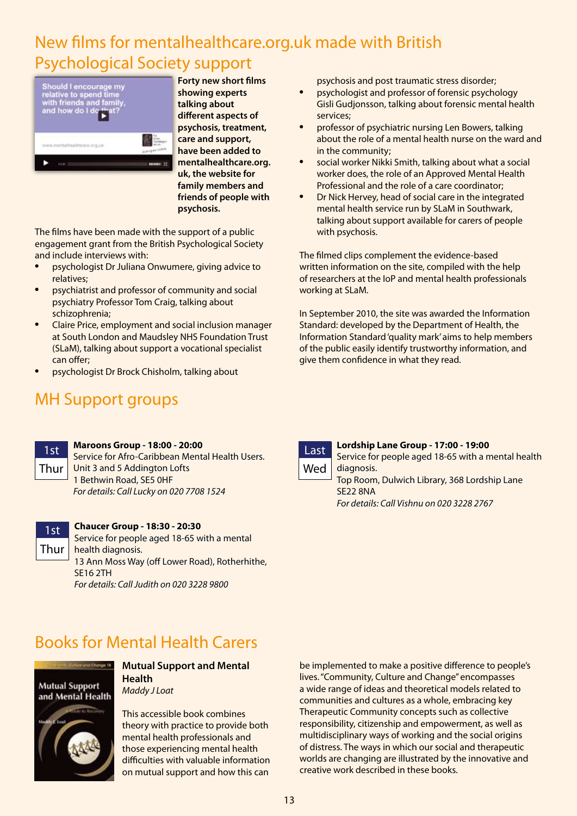## New films for mentalhealthcare.org.uk made with British Psychological Society support



**Forty new short films showing experts talking about different aspects of psychosis, treatment, care and support, have been added to mentalhealthcare.org. uk, the website for family members and friends of people with psychosis.**

The films have been made with the support of a public engagement grant from the British Psychological Society and include interviews with:

- psychologist Dr Juliana Onwumere, giving advice to relatives;
- psychiatrist and professor of community and social psychiatry Professor Tom Craig, talking about schizophrenia;
- Claire Price, employment and social inclusion manager at South London and Maudsley NHS Foundation Trust (SLaM), talking about support a vocational specialist can offer;
- psychologist Dr Brock Chisholm, talking about

## MH Support groups

psychosis and post traumatic stress disorder;

- psychologist and professor of forensic psychology Gisli Gudjonsson, talking about forensic mental health services;
- professor of psychiatric nursing Len Bowers, talking about the role of a mental health nurse on the ward and in the community;
- social worker Nikki Smith, talking about what a social worker does, the role of an Approved Mental Health Professional and the role of a care coordinator;
- Dr Nick Hervey, head of social care in the integrated mental health service run by SLaM in Southwark, talking about support available for carers of people with psychosis.

The filmed clips complement the evidence-based written information on the site, compiled with the help of researchers at the IoP and mental health professionals working at SLaM.

In September 2010, the site was awarded the Information Standard: developed by the Department of Health, the Information Standard 'quality mark' aims to help members of the public easily identify trustworthy information, and give them confidence in what they read.

**Lordship Lane Group - 17:00 - 19:00**



#### **Maroons Group - 18:00 - 20:00**

Service for Afro-Caribbean Mental Health Users. Unit 3 and 5 Addington Lofts 1 Bethwin Road, SE5 0HF *For details: Call Lucky on 020 7708 1524*



#### **Chaucer Group - 18:30 - 20:30**

Service for people aged 18-65 with a mental health diagnosis. 13 Ann Moss Way (off Lower Road), Rotherhithe, SE16 2TH *For details: Call Judith on 020 3228 9800*

## Books for Mental Health Carers



**Mutual Support and Mental Health** *Maddy J Loat*

This accessible book combines theory with practice to provide both mental health professionals and those experiencing mental health difficulties with valuable information on mutual support and how this can

be implemented to make a positive difference to people's lives. "Community, Culture and Change" encompasses a wide range of ideas and theoretical models related to communities and cultures as a whole, embracing key Therapeutic Community concepts such as collective responsibility, citizenship and empowerment, as well as multidisciplinary ways of working and the social origins of distress. The ways in which our social and therapeutic worlds are changing are illustrated by the innovative and creative work described in these books.



Service for people aged 18-65 with a mental health diagnosis. Top Room, Dulwich Library, 368 Lordship Lane SE22 8NA *For details: Call Vishnu on 020 3228 2767*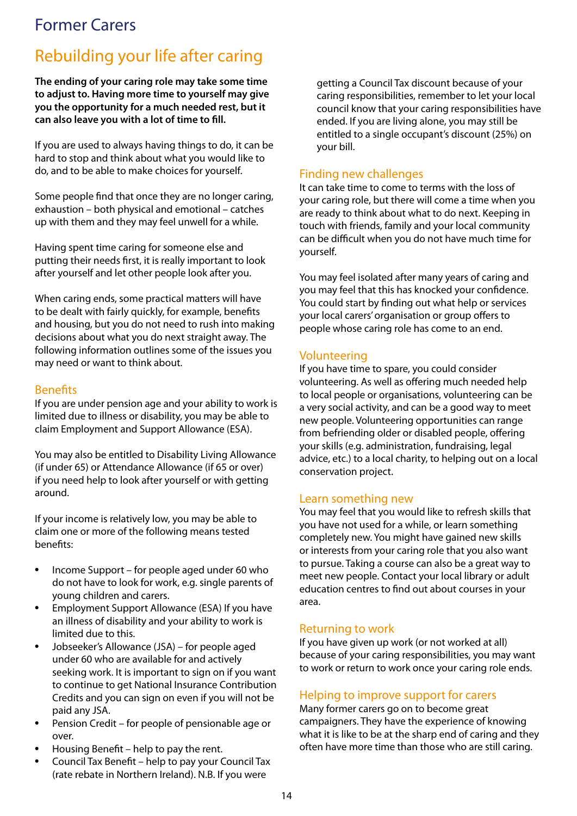## Former Carers

## Rebuilding your life after caring

**The ending of your caring role may take some time to adjust to. Having more time to yourself may give you the opportunity for a much needed rest, but it can also leave you with a lot of time to fill.**

If you are used to always having things to do, it can be hard to stop and think about what you would like to do, and to be able to make choices for yourself.

Some people find that once they are no longer caring, exhaustion – both physical and emotional – catches up with them and they may feel unwell for a while.

Having spent time caring for someone else and putting their needs first, it is really important to look after yourself and let other people look after you.

When caring ends, some practical matters will have to be dealt with fairly quickly, for example, benefits and housing, but you do not need to rush into making decisions about what you do next straight away. The following information outlines some of the issues you may need or want to think about.

## Benefits

If you are under pension age and your ability to work is limited due to illness or disability, you may be able to claim Employment and Support Allowance (ESA).

You may also be entitled to Disability Living Allowance (if under 65) or Attendance Allowance (if 65 or over) if you need help to look after yourself or with getting around.

If your income is relatively low, you may be able to claim one or more of the following means tested benefits:

- Income Support for people aged under 60 who do not have to look for work, e.g. single parents of young children and carers.
- Employment Support Allowance (ESA) If you have an illness of disability and your ability to work is limited due to this.
- Jobseeker's Allowance (JSA) for people aged under 60 who are available for and actively seeking work. It is important to sign on if you want to continue to get National Insurance Contribution Credits and you can sign on even if you will not be paid any JSA.
- Pension Credit for people of pensionable age or over.
- Housing Benefit help to pay the rent.
- Council Tax Benefit help to pay your Council Tax (rate rebate in Northern Ireland). N.B. If you were

getting a Council Tax discount because of your caring responsibilities, remember to let your local council know that your caring responsibilities have ended. If you are living alone, you may still be entitled to a single occupant's discount (25%) on your bill.

## Finding new challenges

It can take time to come to terms with the loss of your caring role, but there will come a time when you are ready to think about what to do next. Keeping in touch with friends, family and your local community can be difficult when you do not have much time for yourself.

You may feel isolated after many years of caring and you may feel that this has knocked your confidence. You could start by finding out what help or services your local carers' organisation or group offers to people whose caring role has come to an end.

## Volunteering

If you have time to spare, you could consider volunteering. As well as offering much needed help to local people or organisations, volunteering can be a very social activity, and can be a good way to meet new people. Volunteering opportunities can range from befriending older or disabled people, offering your skills (e.g. administration, fundraising, legal advice, etc.) to a local charity, to helping out on a local conservation project.

## Learn something new

You may feel that you would like to refresh skills that you have not used for a while, or learn something completely new. You might have gained new skills or interests from your caring role that you also want to pursue. Taking a course can also be a great way to meet new people. Contact your local library or adult education centres to find out about courses in your area.

## Returning to work

If you have given up work (or not worked at all) because of your caring responsibilities, you may want to work or return to work once your caring role ends.

## Helping to improve support for carers

Many former carers go on to become great campaigners. They have the experience of knowing what it is like to be at the sharp end of caring and they often have more time than those who are still caring.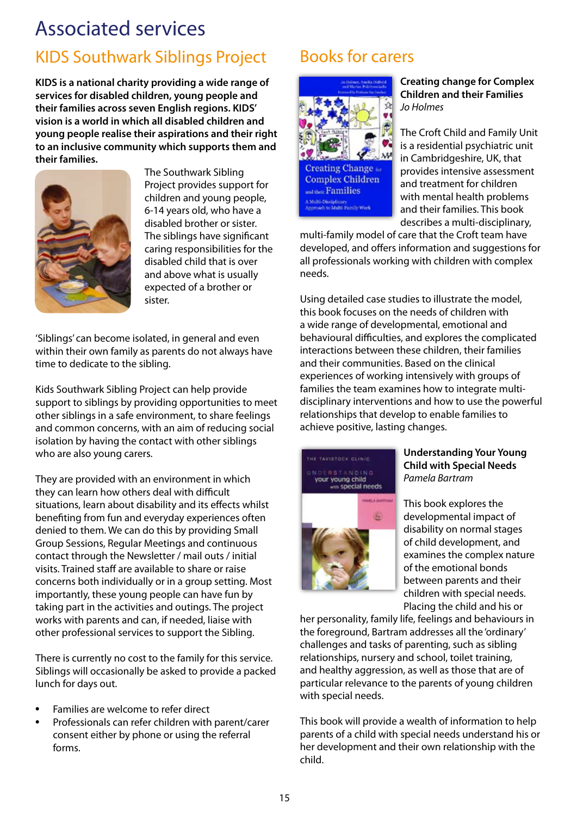## Associated services

## KIDS Southwark Siblings Project Books for carers

**KIDS is a national charity providing a wide range of services for disabled children, young people and their families across seven English regions. KIDS' vision is a world in which all disabled children and young people realise their aspirations and their right to an inclusive community which supports them and their families.**



The Southwark Sibling Project provides support for children and young people, 6-14 years old, who have a disabled brother or sister. The siblings have significant caring responsibilities for the disabled child that is over and above what is usually expected of a brother or sister.

'Siblings' can become isolated, in general and even within their own family as parents do not always have time to dedicate to the sibling.

Kids Southwark Sibling Project can help provide support to siblings by providing opportunities to meet other siblings in a safe environment, to share feelings and common concerns, with an aim of reducing social isolation by having the contact with other siblings who are also young carers.

They are provided with an environment in which they can learn how others deal with difficult situations, learn about disability and its effects whilst benefiting from fun and everyday experiences often denied to them. We can do this by providing Small Group Sessions, Regular Meetings and continuous contact through the Newsletter / mail outs / initial visits. Trained staff are available to share or raise concerns both individually or in a group setting. Most importantly, these young people can have fun by taking part in the activities and outings. The project works with parents and can, if needed, liaise with other professional services to support the Sibling.

There is currently no cost to the family for this service. Siblings will occasionally be asked to provide a packed lunch for days out.

- Families are welcome to refer direct
- Professionals can refer children with parent/carer consent either by phone or using the referral forms.



**Creating change for Complex Children and their Families** *Jo Holmes*

The Croft Child and Family Unit is a residential psychiatric unit in Cambridgeshire, UK, that provides intensive assessment and treatment for children with mental health problems and their families. This book describes a multi-disciplinary,

multi-family model of care that the Croft team have developed, and offers information and suggestions for all professionals working with children with complex needs.

Using detailed case studies to illustrate the model, this book focuses on the needs of children with a wide range of developmental, emotional and behavioural difficulties, and explores the complicated interactions between these children, their families and their communities. Based on the clinical experiences of working intensively with groups of families the team examines how to integrate multidisciplinary interventions and how to use the powerful relationships that develop to enable families to achieve positive, lasting changes.



#### **Understanding Your Young Child with Special Needs** *Pamela Bartram*

This book explores the developmental impact of disability on normal stages of child development, and examines the complex nature of the emotional bonds between parents and their children with special needs. Placing the child and his or

her personality, family life, feelings and behaviours in the foreground, Bartram addresses all the 'ordinary' challenges and tasks of parenting, such as sibling relationships, nursery and school, toilet training, and healthy aggression, as well as those that are of particular relevance to the parents of young children with special needs.

This book will provide a wealth of information to help parents of a child with special needs understand his or her development and their own relationship with the child.